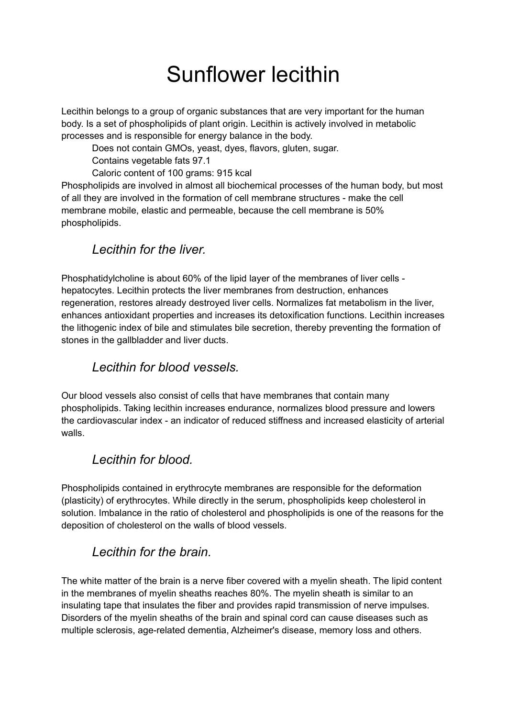# Sunflower lecithin

Lecithin belongs to a group of organic substances that are very important for the human body. Is a set of phospholipids of plant origin. Lecithin is actively involved in metabolic processes and is responsible for energy balance in the body.

Does not contain GMOs, yeast, dyes, flavors, gluten, sugar.

Contains vegetable fats 97.1

Caloric content of 100 grams: 915 kcal

Phospholipids are involved in almost all biochemical processes of the human body, but most of all they are involved in the formation of cell membrane structures - make the cell membrane mobile, elastic and permeable, because the cell membrane is 50% phospholipids.

## *Lecithin for the liver.*

Phosphatidylcholine is about 60% of the lipid layer of the membranes of liver cells hepatocytes. Lecithin protects the liver membranes from destruction, enhances regeneration, restores already destroyed liver cells. Normalizes fat metabolism in the liver, enhances antioxidant properties and increases its detoxification functions. Lecithin increases the lithogenic index of bile and stimulates bile secretion, thereby preventing the formation of stones in the gallbladder and liver ducts.

# *Lecithin for blood vessels.*

Our blood vessels also consist of cells that have membranes that contain many phospholipids. Taking lecithin increases endurance, normalizes blood pressure and lowers the cardiovascular index - an indicator of reduced stiffness and increased elasticity of arterial walls.

## *Lecithin for blood.*

Phospholipids contained in erythrocyte membranes are responsible for the deformation (plasticity) of erythrocytes. While directly in the serum, phospholipids keep cholesterol in solution. Imbalance in the ratio of cholesterol and phospholipids is one of the reasons for the deposition of cholesterol on the walls of blood vessels.

## *Lecithin for the brain.*

The white matter of the brain is a nerve fiber covered with a myelin sheath. The lipid content in the membranes of myelin sheaths reaches 80%. The myelin sheath is similar to an insulating tape that insulates the fiber and provides rapid transmission of nerve impulses. Disorders of the myelin sheaths of the brain and spinal cord can cause diseases such as multiple sclerosis, age-related dementia, Alzheimer's disease, memory loss and others.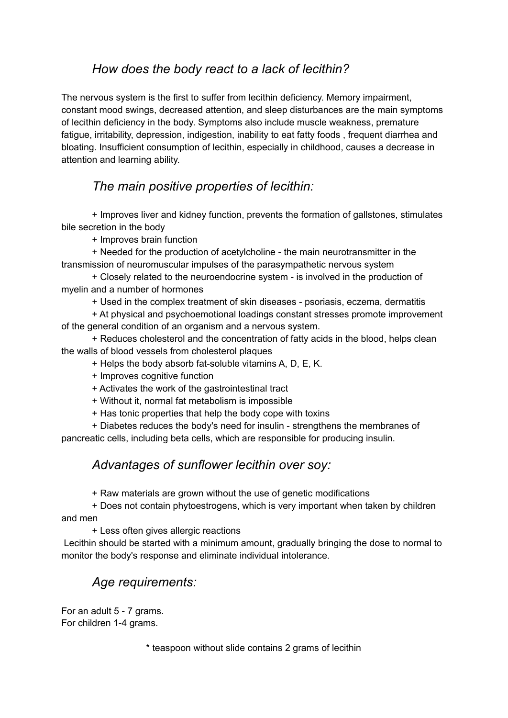## *How does the body react to a lack of lecithin?*

The nervous system is the first to suffer from lecithin deficiency. Memory impairment, constant mood swings, decreased attention, and sleep disturbances are the main symptoms of lecithin deficiency in the body. Symptoms also include muscle weakness, premature fatigue, irritability, depression, indigestion, inability to eat fatty foods , frequent diarrhea and bloating. Insufficient consumption of lecithin, especially in childhood, causes a decrease in attention and learning ability.

#### *The main positive properties of lecithin:*

+ Improves liver and kidney function, prevents the formation of gallstones, stimulates bile secretion in the body

+ Improves brain function

+ Needed for the production of acetylcholine - the main neurotransmitter in the transmission of neuromuscular impulses of the parasympathetic nervous system

+ Closely related to the neuroendocrine system - is involved in the production of myelin and a number of hormones

+ Used in the complex treatment of skin diseases - psoriasis, eczema, dermatitis

+ At physical and psychoemotional loadings constant stresses promote improvement of the general condition of an organism and a nervous system.

+ Reduces cholesterol and the concentration of fatty acids in the blood, helps clean the walls of blood vessels from cholesterol plaques

+ Helps the body absorb fat-soluble vitamins A, D, E, K.

- + Improves cognitive function
- + Activates the work of the gastrointestinal tract
- + Without it, normal fat metabolism is impossible
- + Has tonic properties that help the body cope with toxins

+ Diabetes reduces the body's need for insulin - strengthens the membranes of pancreatic cells, including beta cells, which are responsible for producing insulin.

#### *Advantages of sunflower lecithin over soy:*

+ Raw materials are grown without the use of genetic modifications

+ Does not contain phytoestrogens, which is very important when taken by children and men

+ Less often gives allergic reactions

Lecithin should be started with a minimum amount, gradually bringing the dose to normal to monitor the body's response and eliminate individual intolerance.

## *Age requirements:*

For an adult 5 - 7 grams. For children 1-4 grams.

\* teaspoon without slide contains 2 grams of lecithin